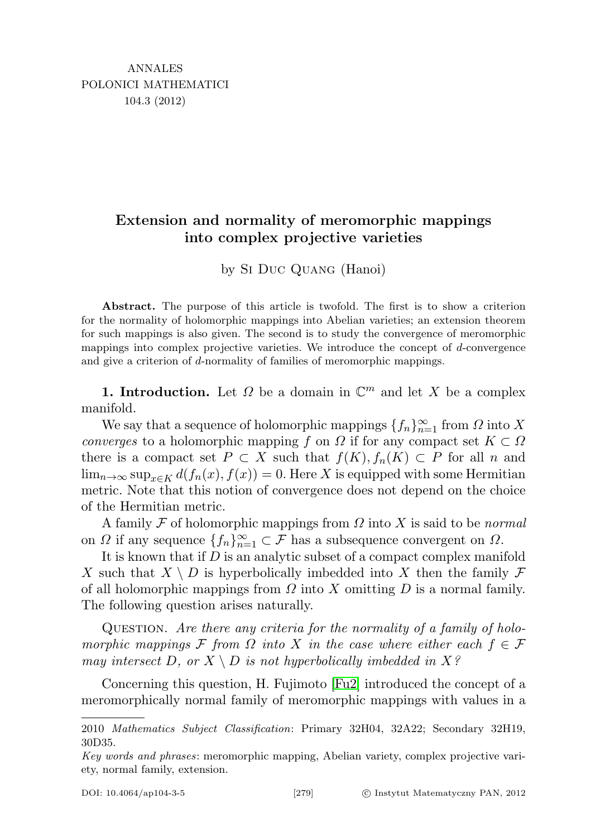# Extension and normality of meromorphic mappings into complex projective varieties

by Si Duc Quang (Hanoi)

Abstract. The purpose of this article is twofold. The first is to show a criterion for the normality of holomorphic mappings into Abelian varieties; an extension theorem for such mappings is also given. The second is to study the convergence of meromorphic mappings into complex projective varieties. We introduce the concept of d-convergence and give a criterion of d-normality of families of meromorphic mappings.

**1. Introduction.** Let  $\Omega$  be a domain in  $\mathbb{C}^m$  and let X be a complex manifold.

We say that a sequence of holomorphic mappings  $\{f_n\}_{n=1}^{\infty}$  from  $\Omega$  into X converges to a holomorphic mapping f on  $\Omega$  if for any compact set  $K \subset \Omega$ there is a compact set  $P \subset X$  such that  $f(K), f_n(K) \subset P$  for all n and  $\lim_{n\to\infty}$  sup<sub>x∈K</sub>  $d(f_n(x), f(x)) = 0$ . Here X is equipped with some Hermitian metric. Note that this notion of convergence does not depend on the choice of the Hermitian metric.

A family F of holomorphic mappings from  $\Omega$  into X is said to be *normal* on  $\Omega$  if any sequence  $\{f_n\}_{n=1}^{\infty} \subset \mathcal{F}$  has a subsequence convergent on  $\Omega$ .

It is known that if D is an analytic subset of a compact complex manifold X such that  $X \setminus D$  is hyperbolically imbedded into X then the family  $\mathcal F$ of all holomorphic mappings from  $\Omega$  into X omitting D is a normal family. The following question arises naturally.

Question. Are there any criteria for the normality of a family of holomorphic mappings F from  $\Omega$  into X in the case where either each  $f \in \mathcal{F}$ may intersect D, or  $X \setminus D$  is not hyperbolically imbedded in  $X$ ?

Concerning this question, H. Fujimoto [\[Fu2\]](#page-12-0) introduced the concept of a meromorphically normal family of meromorphic mappings with values in a

<sup>2010</sup> Mathematics Subject Classification: Primary 32H04, 32A22; Secondary 32H19, 30D35.

Key words and phrases: meromorphic mapping, Abelian variety, complex projective variety, normal family, extension.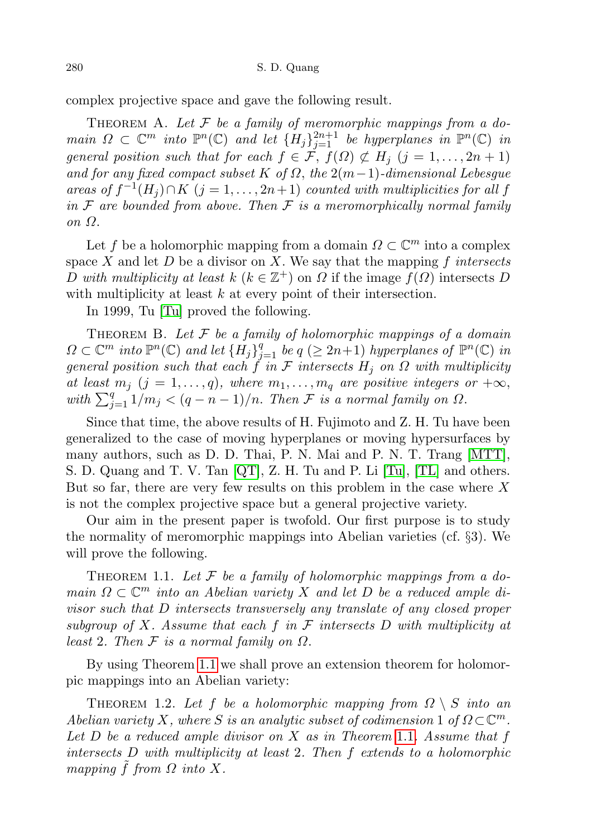complex projective space and gave the following result.

THEOREM A. Let  $\mathcal F$  be a family of meromorphic mappings from a domain  $\Omega \subset \mathbb{C}^m$  into  $\mathbb{P}^n(\mathbb{C})$  and let  $\{H_j\}_{j=1}^{2n+1}$  be hyperplanes in  $\mathbb{P}^n(\mathbb{C})$  in general position such that for each  $f \in \mathcal{F}$ ,  $f(\Omega) \not\subset H_i$   $(j = 1, \ldots, 2n + 1)$ and for any fixed compact subset K of  $\Omega$ , the  $2(m-1)$ -dimensional Lebesgue areas of  $f^{-1}(H_j) \cap K$   $(j = 1, ..., 2n+1)$  counted with multiplicities for all f in  $\mathcal F$  are bounded from above. Then  $\mathcal F$  is a meromorphically normal family on Ω.

Let f be a holomorphic mapping from a domain  $\Omega \subset \mathbb{C}^m$  into a complex space X and let  $D$  be a divisor on X. We say that the mapping f intersects D with multiplicity at least  $k$  ( $k \in \mathbb{Z}^+$ ) on  $\Omega$  if the image  $f(\Omega)$  intersects D with multiplicity at least  $k$  at every point of their intersection.

In 1999, Tu [\[Tu\]](#page-12-1) proved the following.

THEOREM B. Let  $F$  be a family of holomorphic mappings of a domain  $\Omega \subset \mathbb{C}^m$  into  $\mathbb{P}^n(\mathbb{C})$  and let  $\{H_j\}_{j=1}^q$  be  $q \ (\geq 2n+1)$  hyperplanes of  $\mathbb{P}^n(\mathbb{C})$  in general position such that each f in F intersects  $H_j$  on  $\Omega$  with multiplicity at least  $m_j$   $(j = 1, \ldots, q)$ , where  $m_1, \ldots, m_q$  are positive integers or  $+\infty$ , with  $\sum_{j=1}^q 1/m_j < (q-n-1)/n$ . Then  $\mathcal F$  is a normal family on  $\Omega$ .

Since that time, the above results of H. Fujimoto and Z. H. Tu have been generalized to the case of moving hyperplanes or moving hypersurfaces by many authors, such as D. D. Thai, P. N. Mai and P. N. T. Trang [\[MTT\]](#page-12-2), S. D. Quang and T. V. Tan [\[QT\]](#page-12-3), Z. H. Tu and P. Li [\[Tu\]](#page-12-1), [\[TL\]](#page-12-4) and others. But so far, there are very few results on this problem in the case where  $X$ is not the complex projective space but a general projective variety.

Our aim in the present paper is twofold. Our first purpose is to study the normality of meromorphic mappings into Abelian varieties (cf. §3). We will prove the following.

<span id="page-1-0"></span>THEOREM 1.1. Let  $\mathcal F$  be a family of holomorphic mappings from a domain  $\Omega \subset \mathbb{C}^m$  into an Abelian variety X and let D be a reduced ample divisor such that D intersects transversely any translate of any closed proper subgroup of X. Assume that each f in  $\mathcal F$  intersects D with multiplicity at least 2. Then  $\mathcal F$  is a normal family on  $\Omega$ .

By using Theorem [1.1](#page-1-0) we shall prove an extension theorem for holomorpic mappings into an Abelian variety:

<span id="page-1-1"></span>THEOREM 1.2. Let f be a holomorphic mapping from  $\Omega \setminus S$  into an Abelian variety X, where S is an analytic subset of codimension 1 of  $\Omega \subset \mathbb{C}^m$ . Let  $D$  be a reduced ample divisor on  $X$  as in Theorem [1.1](#page-1-0). Assume that  $f$ intersects D with multiplicity at least 2. Then f extends to a holomorphic mapping  $\hat{f}$  from  $\Omega$  into  $X$ .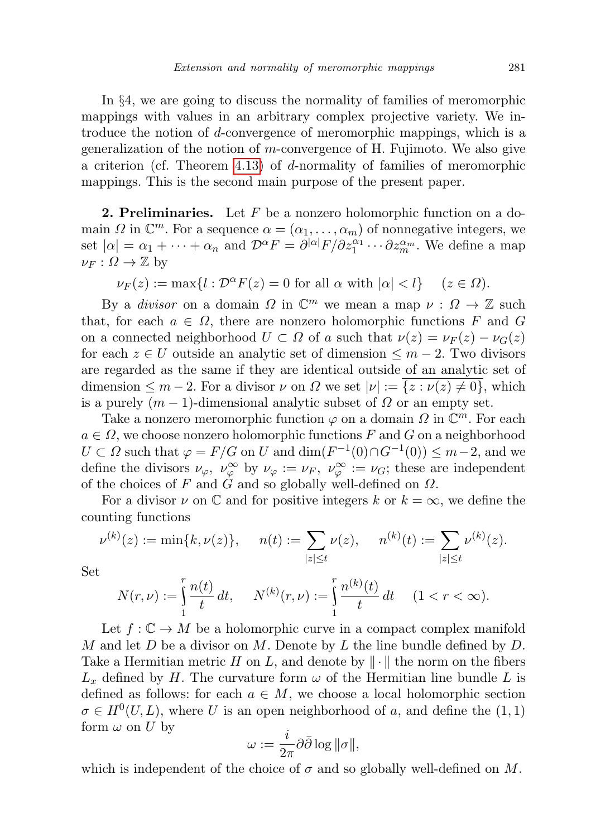In §4, we are going to discuss the normality of families of meromorphic mappings with values in an arbitrary complex projective variety. We introduce the notion of d-convergence of meromorphic mappings, which is a generalization of the notion of m-convergence of H. Fujimoto. We also give a criterion (cf. Theorem [4.13\)](#page-10-0) of d-normality of families of meromorphic mappings. This is the second main purpose of the present paper.

**2. Preliminaries.** Let  $F$  be a nonzero holomorphic function on a domain  $\Omega$  in  $\mathbb{C}^m$ . For a sequence  $\alpha = (\alpha_1, \dots, \alpha_m)$  of nonnegative integers, we set  $|\alpha| = \alpha_1 + \cdots + \alpha_n$  and  $\mathcal{D}^{\alpha}F = \partial^{|\alpha|}F/\partial z_1^{\alpha_1} \cdots \partial z_m^{\alpha_m}$ . We define a map  $\nu_F : \Omega \to \mathbb{Z}$  by

$$
\nu_F(z) := \max\{l : \mathcal{D}^{\alpha} F(z) = 0 \text{ for all } \alpha \text{ with } |\alpha| < l\} \quad (z \in \Omega).
$$

By a *divisor* on a domain  $\Omega$  in  $\mathbb{C}^m$  we mean a map  $\nu : \Omega \to \mathbb{Z}$  such that, for each  $a \in \Omega$ , there are nonzero holomorphic functions F and G on a connected neighborhood  $U \subset \Omega$  of a such that  $\nu(z) = \nu_F(z) - \nu_G(z)$ for each  $z \in U$  outside an analytic set of dimension  $\leq m-2$ . Two divisors are regarded as the same if they are identical outside of an analytic set of dimension  $\leq m-2$ . For a divisor  $\nu$  on  $\Omega$  we set  $|\nu| := \{z : \nu(z) \neq 0\}$ , which is a purely  $(m-1)$ -dimensional analytic subset of  $\Omega$  or an empty set.

Take a nonzero meromorphic function  $\varphi$  on a domain  $\Omega$  in  $\mathbb{C}^m$ . For each  $a \in \Omega$ , we choose nonzero holomorphic functions F and G on a neighborhood  $U \subset \Omega$  such that  $\varphi = F/G$  on U and  $\dim(F^{-1}(0) \cap G^{-1}(0)) \leq m-2$ , and we define the divisors  $\nu_{\varphi}$ ,  $\nu_{\varphi}^{\infty}$  by  $\nu_{\varphi} := \nu_F$ ,  $\nu_{\varphi}^{\infty} := \nu_G$ ; these are independent of the choices of F and G and so globally well-defined on  $\Omega$ .

For a divisor  $\nu$  on  $\mathbb C$  and for positive integers k or  $k = \infty$ , we define the counting functions

$$
\nu^{(k)}(z) := \min\{k, \nu(z)\}, \quad n(t) := \sum_{|z| \le t} \nu(z), \quad n^{(k)}(t) := \sum_{|z| \le t} \nu^{(k)}(z).
$$

Set

$$
N(r,\nu) := \int_{1}^{r} \frac{n(t)}{t} dt, \quad N^{(k)}(r,\nu) := \int_{1}^{r} \frac{n^{(k)}(t)}{t} dt \quad (1 < r < \infty).
$$

Let  $f: \mathbb{C} \to M$  be a holomorphic curve in a compact complex manifold M and let  $D$  be a divisor on M. Denote by  $L$  the line bundle defined by  $D$ . Take a Hermitian metric H on L, and denote by  $\|\cdot\|$  the norm on the fibers  $L_x$  defined by H. The curvature form  $\omega$  of the Hermitian line bundle L is defined as follows: for each  $a \in M$ , we choose a local holomorphic section  $\sigma \in H^0(U, L)$ , where U is an open neighborhood of a, and define the  $(1, 1)$ form  $\omega$  on U by

$$
\omega:=\frac{i}{2\pi}\partial\bar\partial\log\|\sigma\|,
$$

which is independent of the choice of  $\sigma$  and so globally well-defined on M.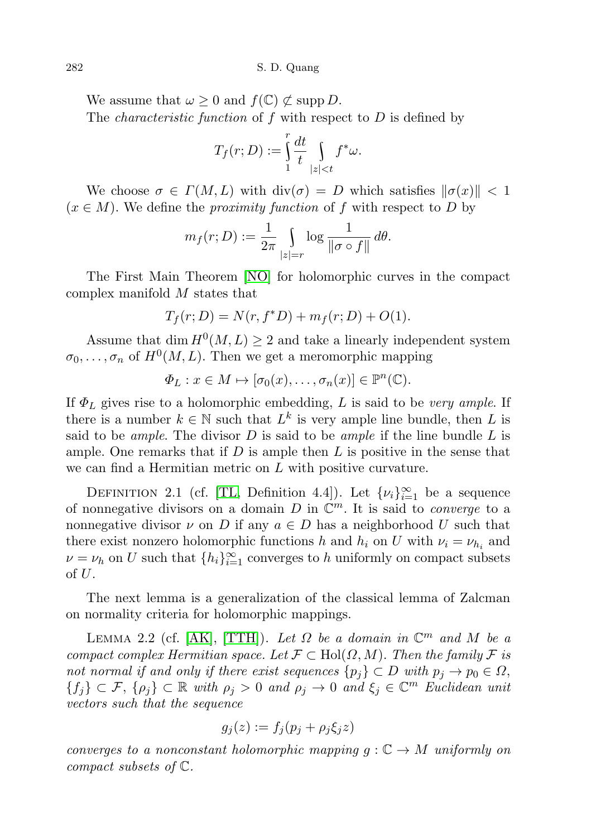282 S. D. Quang

We assume that  $\omega \geq 0$  and  $f(\mathbb{C}) \not\subset \text{supp } D$ . The *characteristic function* of f with respect to  $D$  is defined by

$$
T_f(r; D) := \int_{1}^{r} \frac{dt}{t} \int_{|z| < t} f^* \omega.
$$

We choose  $\sigma \in \Gamma(M, L)$  with  $\text{div}(\sigma) = D$  which satisfies  $\|\sigma(x)\| < 1$  $(x \in M)$ . We define the *proximity function* of f with respect to D by

$$
m_f(r; D) := \frac{1}{2\pi} \int\limits_{|z|=r} \log \frac{1}{\|\sigma \circ f\|} d\theta.
$$

The First Main Theorem [\[NO\]](#page-12-5) for holomorphic curves in the compact complex manifold M states that

$$
T_f(r; D) = N(r, f^*D) + m_f(r; D) + O(1).
$$

Assume that dim  $H^0(M, L) \geq 2$  and take a linearly independent system  $\sigma_0, \ldots, \sigma_n$  of  $H^0(M, L)$ . Then we get a meromorphic mapping

$$
\Phi_L: x \in M \mapsto [\sigma_0(x), \dots, \sigma_n(x)] \in \mathbb{P}^n(\mathbb{C}).
$$

If  $\Phi_L$  gives rise to a holomorphic embedding, L is said to be very ample. If there is a number  $k \in \mathbb{N}$  such that  $L^k$  is very ample line bundle, then L is said to be *ample*. The divisor  $D$  is said to be *ample* if the line bundle  $L$  is ample. One remarks that if  $D$  is ample then  $L$  is positive in the sense that we can find a Hermitian metric on L with positive curvature.

DEFINITION 2.1 (cf. [\[TL,](#page-12-4) Definition 4.4]). Let  $\{\nu_i\}_{i=1}^{\infty}$  be a sequence of nonnegative divisors on a domain  $D$  in  $\mathbb{C}^m$ . It is said to *converge* to a nonnegative divisor  $\nu$  on D if any  $a \in D$  has a neighborhood U such that there exist nonzero holomorphic functions h and  $h_i$  on U with  $\nu_i = \nu_{h_i}$  and  $\nu = \nu_h$  on U such that  $\{h_i\}_{i=1}^{\infty}$  converges to h uniformly on compact subsets of U.

The next lemma is a generalization of the classical lemma of Zalcman on normality criteria for holomorphic mappings.

LEMMA 2.2 (cf. [\[AK\]](#page-12-6), [\[TTH\]](#page-12-7)). Let  $\Omega$  be a domain in  $\mathbb{C}^m$  and M be a compact complex Hermitian space. Let  $\mathcal{F} \subset Hol(\Omega, M)$ . Then the family  $\mathcal{F}$  is not normal if and only if there exist sequences  $\{p_i\} \subset D$  with  $p_i \to p_0 \in \Omega$ ,  ${f_j} \subset \mathcal{F}, \{\rho_j\} \subset \mathbb{R}$  with  $\rho_j > 0$  and  $\rho_j \to 0$  and  $\xi_j \in \mathbb{C}^m$  Euclidean unit vectors such that the sequence

$$
g_j(z) := f_j(p_j + \rho_j \xi_j z)
$$

converges to a nonconstant holomorphic mapping  $g: \mathbb{C} \to M$  uniformly on compact subsets of C.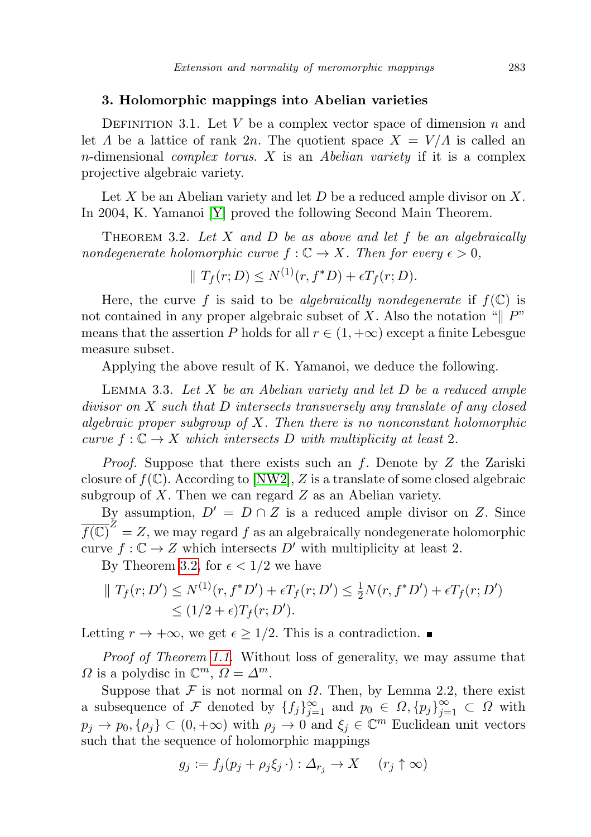## 3. Holomorphic mappings into Abelian varieties

DEFINITION 3.1. Let V be a complex vector space of dimension n and let  $\Lambda$  be a lattice of rank  $2n$ . The quotient space  $X = V/\Lambda$  is called an  $n$ -dimensional *complex torus.*  $X$  is an *Abelian variety* if it is a complex projective algebraic variety.

Let X be an Abelian variety and let  $D$  be a reduced ample divisor on X. In 2004, K. Yamanoi [\[Y\]](#page-13-0) proved the following Second Main Theorem.

<span id="page-4-0"></span>THEOREM 3.2. Let X and D be as above and let  $f$  be an algebraically nondegenerate holomorphic curve  $f: \mathbb{C} \to X$ . Then for every  $\epsilon > 0$ ,

$$
\parallel T_f(r; D) \leq N^{(1)}(r, f^*D) + \epsilon T_f(r; D).
$$

Here, the curve f is said to be algebraically nondegenerate if  $f(\mathbb{C})$  is not contained in any proper algebraic subset of X. Also the notation " $\parallel P$ " means that the assertion P holds for all  $r \in (1, +\infty)$  except a finite Lebesgue measure subset.

Applying the above result of K. Yamanoi, we deduce the following.

<span id="page-4-1"></span>LEMMA 3.3. Let  $X$  be an Abelian variety and let  $D$  be a reduced ample divisor on X such that D intersects transversely any translate of any closed algebraic proper subgroup of  $X$ . Then there is no nonconstant holomorphic curve  $f: \mathbb{C} \to X$  which intersects D with multiplicity at least 2.

*Proof.* Suppose that there exists such an f. Denote by  $Z$  the Zariski closure of  $f(\mathbb{C})$ . According to [\[NW2\]](#page-12-8), Z is a translate of some closed algebraic subgroup of  $X$ . Then we can regard  $Z$  as an Abelian variety.

By assumption,  $D' = D \cap Z$  is a reduced ample divisor on Z. Since  $\overline{f(\mathbb{C})}^Z = Z$ , we may regard  $f$  as an algebraically nondegenerate holomorphic curve  $f: \mathbb{C} \to Z$  which intersects D' with multiplicity at least 2.

By Theorem [3.2,](#page-4-0) for  $\epsilon < 1/2$  we have

$$
\| T_f(r; D') \le N^{(1)}(r, f^*D') + \epsilon T_f(r; D') \le \frac{1}{2} N(r, f^*D') + \epsilon T_f(r; D') \le (1/2 + \epsilon) T_f(r; D').
$$

Letting  $r \to +\infty$ , we get  $\epsilon \geq 1/2$ . This is a contradiction. ■

Proof of Theorem [1.1](#page-1-0). Without loss of generality, we may assume that  $\Omega$  is a polydisc in  $\mathbb{C}^m$ ,  $\Omega = \Delta^m$ .

Suppose that  $\mathcal F$  is not normal on  $\Omega$ . Then, by Lemma 2.2, there exist a subsequence of F denoted by  ${f_j}_{j=1}^{\infty}$  and  $p_0 \in \Omega, {p_j}_{j=1}^{\infty} \subset \Omega$  with  $p_j \to p_0, {\rho_j} \subset (0, +\infty)$  with  $\rho_j \to 0$  and  $\xi_j \in \mathbb{C}^m$  Euclidean unit vectors such that the sequence of holomorphic mappings

$$
g_j := f_j(p_j + \rho_j \xi_j \cdot) : \Delta_{r_j} \to X \quad (r_j \uparrow \infty)
$$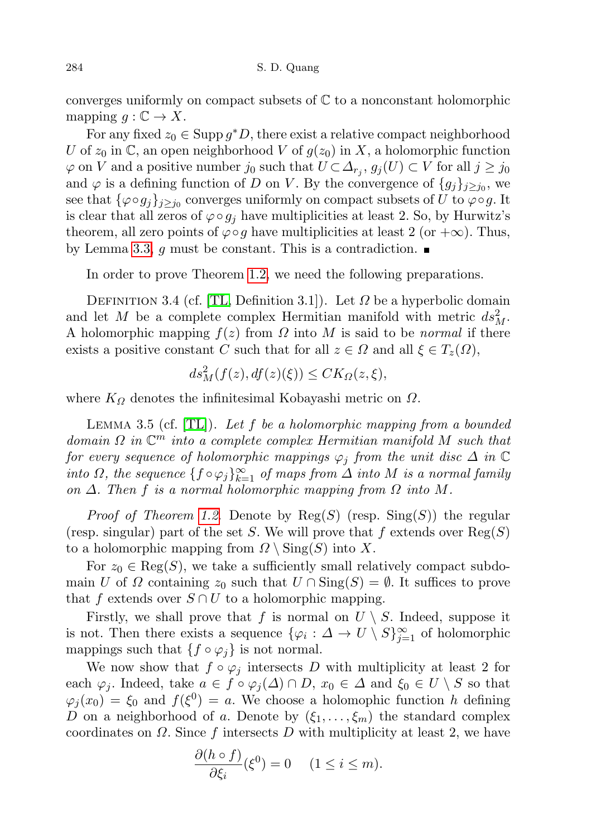converges uniformly on compact subsets of  $\mathbb C$  to a nonconstant holomorphic mapping  $g: \mathbb{C} \to X$ .

For any fixed  $z_0 \in \text{Supp } g^*D$ , there exist a relative compact neighborhood U of  $z_0$  in C, an open neighborhood V of  $g(z_0)$  in X, a holomorphic function  $\varphi$  on V and a positive number  $j_0$  such that  $U \subset \Delta_{r_j}, g_j(U) \subset V$  for all  $j \geq j_0$ and  $\varphi$  is a defining function of D on V. By the convergence of  $\{g_j\}_{j\geq j_0}$ , we see that  $\{\varphi \circ g_j\}_{j \geq j_0}$  converges uniformly on compact subsets of U to  $\varphi \circ g$ . It is clear that all zeros of  $\varphi \circ g_i$  have multiplicities at least 2. So, by Hurwitz's theorem, all zero points of  $\varphi \circ q$  have multiplicities at least 2 (or  $+\infty$ ). Thus, by Lemma [3.3,](#page-4-1) g must be constant. This is a contradiction.

In order to prove Theorem [1.2,](#page-1-1) we need the following preparations.

DEFINITION 3.4 (cf. [\[TL,](#page-12-4) Definition 3.1]). Let  $\Omega$  be a hyperbolic domain and let M be a complete complex Hermitian manifold with metric  $ds_M^2$ . A holomorphic mapping  $f(z)$  from  $\Omega$  into M is said to be *normal* if there exists a positive constant C such that for all  $z \in \Omega$  and all  $\xi \in T_z(\Omega)$ ,

$$
ds_M^2(f(z), df(z)(\xi)) \leq CK_{\Omega}(z, \xi),
$$

where  $K_{\Omega}$  denotes the infinitesimal Kobayashi metric on  $\Omega$ .

LEMMA 3.5 (cf.  $[TL]$ ). Let f be a holomorphic mapping from a bounded domain  $\Omega$  in  $\mathbb{C}^m$  into a complete complex Hermitian manifold M such that for every sequence of holomorphic mappings  $\varphi_j$  from the unit disc  $\Delta$  in  $\mathbb C$ into  $\Omega$ , the sequence  $\{f\circ\varphi_j\}_{k=1}^\infty$  of maps from  $\tilde{\Delta}$  into  $M$  is a normal family on  $\Delta$ . Then f is a normal holomorphic mapping from  $\Omega$  into M.

*Proof of Theorem [1.2](#page-1-1).* Denote by  $Reg(S)$  (resp.  $Sing(S))$  the regular (resp. singular) part of the set S. We will prove that f extends over  $\text{Reg}(S)$ to a holomorphic mapping from  $\Omega \setminus \text{Sing}(S)$  into X.

For  $z_0 \in \text{Reg}(S)$ , we take a sufficiently small relatively compact subdomain U of  $\Omega$  containing  $z_0$  such that  $U \cap Sing(S) = \emptyset$ . It suffices to prove that f extends over  $S \cap U$  to a holomorphic mapping.

Firstly, we shall prove that f is normal on  $U \setminus S$ . Indeed, suppose it is not. Then there exists a sequence  $\{\varphi_i : \Delta \to U \setminus S\}_{j=1}^{\infty}$  of holomorphic mappings such that  $\{f \circ \varphi_j\}$  is not normal.

We now show that  $f \circ \varphi_i$  intersects D with multiplicity at least 2 for each  $\varphi_j$ . Indeed, take  $a \in f \circ \varphi_j(\Delta) \cap D$ ,  $x_0 \in \Delta$  and  $\xi_0 \in U \setminus S$  so that  $\varphi_j(x_0) = \xi_0$  and  $f(\xi^0) = a$ . We choose a holomophic function h defining D on a neighborhood of a. Denote by  $(\xi_1, \ldots, \xi_m)$  the standard complex coordinates on  $\Omega$ . Since f intersects D with multiplicity at least 2, we have

$$
\frac{\partial (h \circ f)}{\partial \xi_i}(\xi^0) = 0 \quad (1 \le i \le m).
$$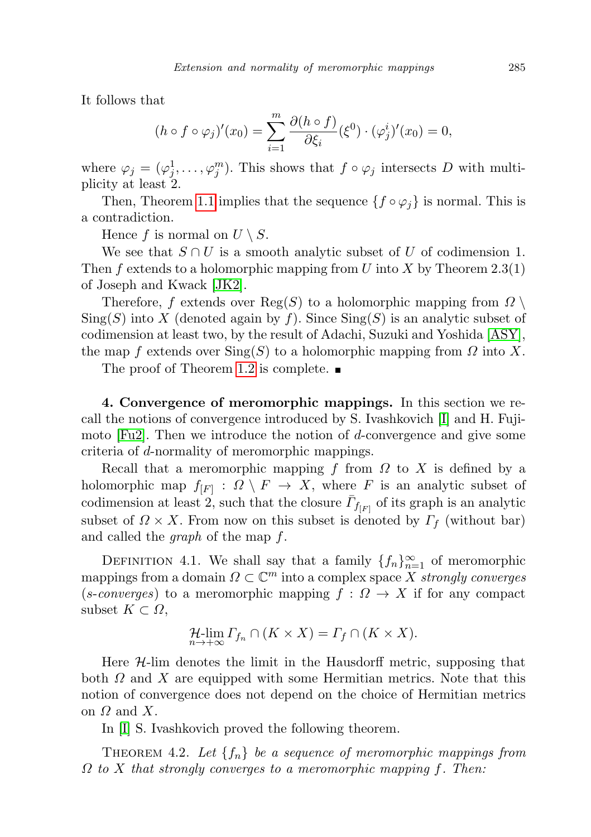It follows that

$$
(h \circ f \circ \varphi_j)'(x_0) = \sum_{i=1}^m \frac{\partial (h \circ f)}{\partial \xi_i} (\xi^0) \cdot (\varphi_j^i)'(x_0) = 0,
$$

where  $\varphi_j = (\varphi_j^1, \ldots, \varphi_j^m)$ . This shows that  $f \circ \varphi_j$  intersects D with multiplicity at least 2.

Then, Theorem [1.1](#page-1-0) implies that the sequence  $\{f \circ \varphi_i\}$  is normal. This is a contradiction.

Hence f is normal on  $U \setminus S$ .

We see that  $S \cap U$  is a smooth analytic subset of U of codimension 1. Then f extends to a holomorphic mapping from U into X by Theorem 2.3(1) of Joseph and Kwack [\[JK2\]](#page-12-9).

Therefore, f extends over  $\text{Reg}(S)$  to a holomorphic mapping from  $\Omega \setminus$  $\text{Sing}(S)$  into X (denoted again by f). Since  $\text{Sing}(S)$  is an analytic subset of codimension at least two, by the result of Adachi, Suzuki and Yoshida [\[ASY\]](#page-12-10), the map f extends over  $\text{Sing}(S)$  to a holomorphic mapping from  $\Omega$  into X.

The proof of Theorem [1.2](#page-1-1) is complete.  $\blacksquare$ 

4. Convergence of meromorphic mappings. In this section we recall the notions of convergence introduced by S. Ivashkovich [\[I\]](#page-12-11) and H. Fujimoto  $[Fu2]$ . Then we introduce the notion of d-convergence and give some criteria of d-normality of meromorphic mappings.

Recall that a meromorphic mapping f from  $\Omega$  to X is defined by a holomorphic map  $f_{[F]} : \Omega \setminus F \to X$ , where F is an analytic subset of codimension at least 2, such that the closure  $\bar{\Gamma}_{f_{[F]}}$  of its graph is an analytic subset of  $\Omega \times X$ . From now on this subset is denoted by  $\Gamma_f$  (without bar) and called the graph of the map f.

DEFINITION 4.1. We shall say that a family  ${f_n}_{n=1}^{\infty}$  of meromorphic mappings from a domain  $\Omega \subset \mathbb{C}^m$  into a complex space X strongly converges (s-converges) to a meromorphic mapping  $f: \Omega \to X$  if for any compact subset  $K \subset \Omega$ ,

$$
\mathcal{H}\text{-lim}_{n\to+\infty}\Gamma_{f_n}\cap (K\times X)=\Gamma_f\cap (K\times X).
$$

Here  $H$ -lim denotes the limit in the Hausdorff metric, supposing that both  $\Omega$  and X are equipped with some Hermitian metrics. Note that this notion of convergence does not depend on the choice of Hermitian metrics on  $\Omega$  and  $X$ .

In [\[I\]](#page-12-11) S. Ivashkovich proved the following theorem.

<span id="page-6-0"></span>THEOREM 4.2. Let  $\{f_n\}$  be a sequence of meromorphic mappings from  $\Omega$  to X that strongly converges to a meromorphic mapping f. Then: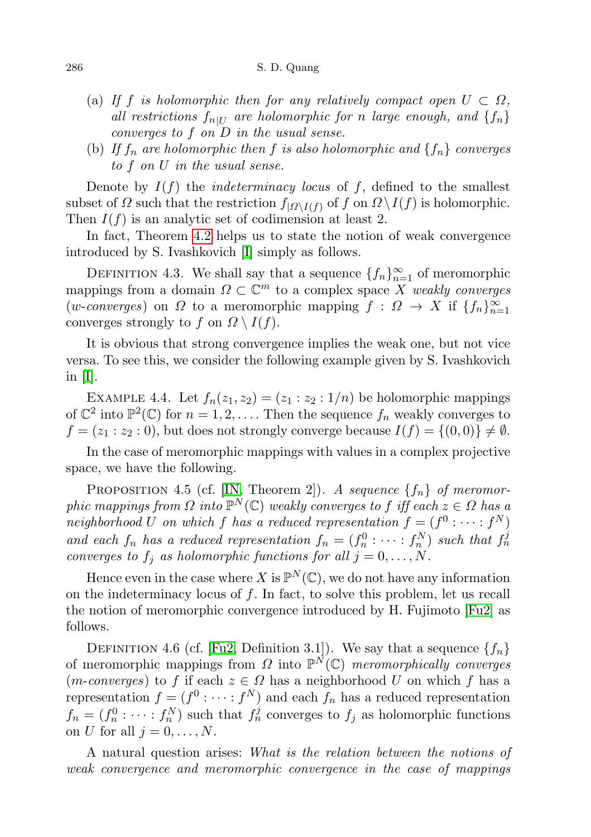- (a) If f is holomorphic then for any relatively compact open  $U \subset \Omega$ , all restrictions  $f_{n|U}$  are holomorphic for n large enough, and  $\{f_n\}$ converges to f on D in the usual sense.
- (b) If  $f_n$  are holomorphic then f is also holomorphic and  $\{f_n\}$  converges to f on U in the usual sense.

Denote by  $I(f)$  the *indeterminacy locus* of f, defined to the smallest subset of  $\Omega$  such that the restriction  $f_{|\Omega \setminus I(f)}$  of f on  $\Omega \setminus I(f)$  is holomorphic. Then  $I(f)$  is an analytic set of codimension at least 2.

In fact, Theorem [4.2](#page-6-0) helps us to state the notion of weak convergence introduced by S. Ivashkovich [\[I\]](#page-12-11) simply as follows.

DEFINITION 4.3. We shall say that a sequence  $\{f_n\}_{n=1}^{\infty}$  of meromorphic mappings from a domain  $\Omega \subset \mathbb{C}^m$  to a complex space X weakly converges (*w-converges*) on  $\Omega$  to a meromorphic mapping  $f: \Omega \to X$  if  $\{f_n\}_{n=1}^{\infty}$ converges strongly to f on  $\Omega \setminus I(f)$ .

It is obvious that strong convergence implies the weak one, but not vice versa. To see this, we consider the following example given by S. Ivashkovich in [\[I\]](#page-12-11).

<span id="page-7-1"></span>EXAMPLE 4.4. Let  $f_n(z_1, z_2) = (z_1 : z_2 : 1/n)$  be holomorphic mappings of  $\mathbb{C}^2$  into  $\mathbb{P}^2(\mathbb{C})$  for  $n = 1, 2, \ldots$ . Then the sequence  $f_n$  weakly converges to  $f = (z_1 : z_2 : 0)$ , but does not strongly converge because  $I(f) = \{(0, 0)\}\neq \emptyset$ .

In the case of meromorphic mappings with values in a complex projective space, we have the following.

<span id="page-7-0"></span>PROPOSITION 4.5 (cf. [\[IN,](#page-12-12) Theorem 2]). A sequence  $\{f_n\}$  of meromorphic mappings from  $\Omega$  into  $\mathbb{P}^N(\mathbb{C})$  weakly converges to f iff each  $z \in \Omega$  has a neighborhood U on which f has a reduced representation  $f = (f^0 : \cdots : f^N)$ and each  $f_n$  has a reduced representation  $f_n = (f_n^0 : \cdots : f_n^N)$  such that  $f_n^j$ converges to  $f_j$  as holomorphic functions for all  $j = 0, \ldots, N$ .

Hence even in the case where X is  $\mathbb{P}^N(\mathbb{C})$ , we do not have any information on the indeterminacy locus of  $f$ . In fact, to solve this problem, let us recall the notion of meromorphic convergence introduced by H. Fujimoto [\[Fu2\]](#page-12-0) as follows.

DEFINITION 4.6 (cf. [\[Fu2,](#page-12-0) Definition 3.1]). We say that a sequence  $\{f_n\}$ of meromorphic mappings from  $\Omega$  into  $\mathbb{P}^N(\mathbb{C})$  meromorphically converges (m-converges) to f if each  $z \in \Omega$  has a neighborhood U on which f has a representation  $f = (f^0 : \cdots : f^N)$  and each  $f_n$  has a reduced representation  $f_n = (f_n^0 : \cdots : f_n^N)$  such that  $f_n^j$  converges to  $f_j$  as holomorphic functions on U for all  $j = 0, \ldots, N$ .

A natural question arises: What is the relation between the notions of weak convergence and meromorphic convergence in the case of mappings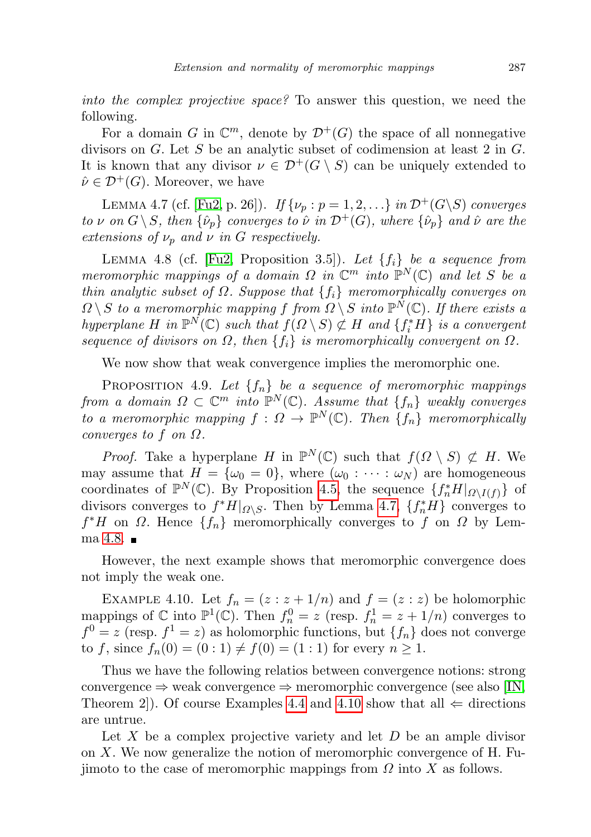into the complex projective space? To answer this question, we need the following.

For a domain G in  $\mathbb{C}^m$ , denote by  $\mathcal{D}^+(G)$  the space of all nonnegative divisors on G. Let S be an analytic subset of codimension at least 2 in G. It is known that any divisor  $\nu \in \mathcal{D}^+(G \setminus S)$  can be uniquely extended to  $\hat{\nu} \in \mathcal{D}^+(G)$ . Moreover, we have

<span id="page-8-0"></span>LEMMA 4.7 (cf. [\[Fu2,](#page-12-0) p. 26]). If  $\{\nu_p : p = 1, 2, ...\}$  in  $\mathcal{D}^+(G\backslash S)$  converges to v on  $G \backslash S$ , then  $\{\hat{\nu}_p\}$  converges to  $\hat{\nu}$  in  $\mathcal{D}^+(G)$ , where  $\{\hat{\nu}_p\}$  and  $\hat{\nu}$  are the extensions of  $\nu_p$  and  $\nu$  in G respectively.

<span id="page-8-1"></span>LEMMA 4.8 (cf. [\[Fu2,](#page-12-0) Proposition 3.5]). Let  $\{f_i\}$  be a sequence from meromorphic mappings of a domain  $\Omega$  in  $\mathbb{C}^m$  into  $\mathbb{P}^N(\mathbb{C})$  and let S be a thin analytic subset of  $\Omega$ . Suppose that  $\{f_i\}$  meromorphically converges on  $\Omega \setminus S$  to a meromorphic mapping f from  $\Omega \setminus S$  into  $\mathbb{P}^N(\mathbb{C})$ . If there exists a hyperplane H in  $\mathbb{P}^N(\mathbb{C})$  such that  $f(\Omega \setminus S) \not\subset H$  and  $\{f_i^*H\}$  is a convergent sequence of divisors on  $\Omega$ , then  $\{f_i\}$  is meromorphically convergent on  $\Omega$ .

We now show that weak convergence implies the meromorphic one.

PROPOSITION 4.9. Let  $\{f_n\}$  be a sequence of meromorphic mappings from a domain  $\Omega \subset \mathbb{C}^m$  into  $\mathbb{P}^N(\mathbb{C})$ . Assume that  $\{f_n\}$  weakly converges to a meromorphic mapping  $f: \Omega \to \mathbb{P}^N(\mathbb{C})$ . Then  $\{f_n\}$  meromorphically converges to f on  $\Omega$ .

*Proof.* Take a hyperplane H in  $\mathbb{P}^N(\mathbb{C})$  such that  $f(\Omega \setminus S) \not\subset H$ . We may assume that  $H = {\omega_0 = 0}$ , where  $(\omega_0 : \cdots : \omega_N)$  are homogeneous coordinates of  $\mathbb{P}^N(\mathbb{C})$ . By Proposition [4.5,](#page-7-0) the sequence  $\{f_n^*H|_{\Omega\setminus I(f)}\}$  of divisors converges to  $f^*H|_{\Omega\setminus S}$ . Then by Lemma [4.7,](#page-8-0)  $\{f_n^*H\}$  converges to  $f^*H$  on  $\Omega$ . Hence  $\{f_n\}$  meromorphically converges to f on  $\Omega$  by Lemma  $4.8.$ 

However, the next example shows that meromorphic convergence does not imply the weak one.

<span id="page-8-2"></span>EXAMPLE 4.10. Let  $f_n = (z : z + 1/n)$  and  $f = (z : z)$  be holomorphic mappings of  $\mathbb C$  into  $\mathbb P^1(\mathbb C)$ . Then  $f_n^0 = z$  (resp.  $f_n^1 = z + 1/n$ ) converges to  $f^0 = z$  (resp.  $f^1 = z$ ) as holomorphic functions, but  $\{f_n\}$  does not converge to f, since  $f_n(0) = (0:1) \neq f(0) = (1:1)$  for every  $n \geq 1$ .

Thus we have the following relatios between convergence notions: strong convergence  $\Rightarrow$  weak convergence  $\Rightarrow$  meromorphic convergence (see also [\[IN,](#page-12-12) Theorem 2. Of course Examples [4.4](#page-7-1) and [4.10](#page-8-2) show that all  $\Leftarrow$  directions are untrue.

Let  $X$  be a complex projective variety and let  $D$  be an ample divisor on  $X$ . We now generalize the notion of meromorphic convergence of H. Fujimoto to the case of meromorphic mappings from  $\Omega$  into X as follows.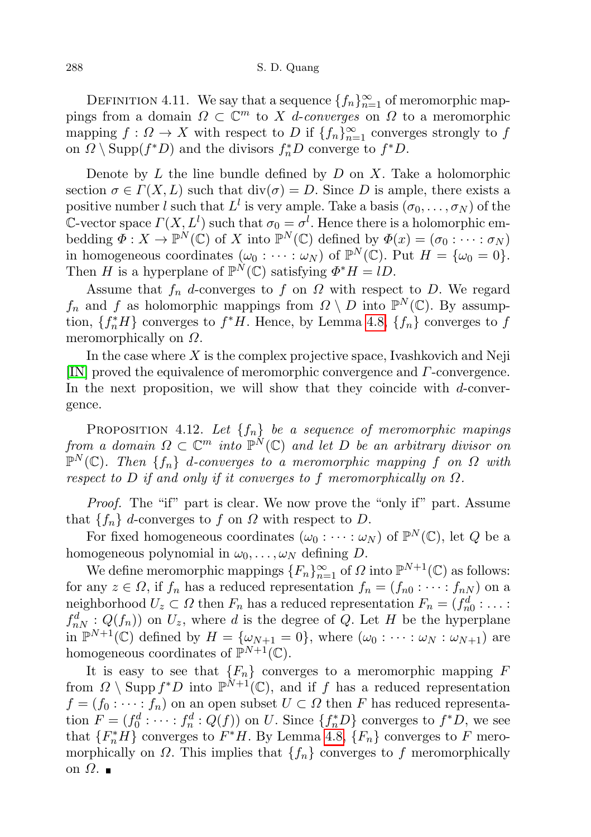### 288 S. D. Quang

DEFINITION 4.11. We say that a sequence  $\{f_n\}_{n=1}^{\infty}$  of meromorphic mappings from a domain  $\Omega \subset \mathbb{C}^m$  to X *d*-converges on  $\Omega$  to a meromorphic mapping  $f: \Omega \to X$  with respect to D if  $\{f_n\}_{n=1}^{\infty}$  converges strongly to f on  $\Omega \setminus \text{Supp}(f^*D)$  and the divisors  $f^*_{n}D$  converge to  $f^*D$ .

Denote by L the line bundle defined by  $D$  on X. Take a holomorphic section  $\sigma \in \Gamma(X, L)$  such that  $\text{div}(\sigma) = D$ . Since D is ample, there exists a positive number l such that  $L^l$  is very ample. Take a basis  $(\sigma_0, \ldots, \sigma_N)$  of the C-vector space  $\Gamma(X, L^l)$  such that  $\sigma_0 = \sigma^l$ . Hence there is a holomorphic embedding  $\Phi: X \to \mathbb{P}^N(\mathbb{C})$  of X into  $\mathbb{P}^N(\mathbb{C})$  defined by  $\Phi(x) = (\sigma_0: \cdots: \sigma_N)$ in homogeneous coordinates  $(\omega_0 : \cdots : \omega_N)$  of  $\mathbb{P}^N(\mathbb{C})$ . Put  $H = {\omega_0 = 0}$ . Then H is a hyperplane of  $\mathbb{P}^N(\mathbb{C})$  satisfying  $\Phi^* H = lD$ .

Assume that  $f_n$  d-converges to f on  $\Omega$  with respect to D. We regard  $f_n$  and f as holomorphic mappings from  $\Omega \setminus D$  into  $\mathbb{P}^N(\mathbb{C})$ . By assumption,  $\{f_n^*H\}$  converges to  $f^*H$ . Hence, by Lemma [4.8,](#page-8-1)  $\{f_n\}$  converges to  $f$ meromorphically on  $\Omega$ .

In the case where  $X$  is the complex projective space, Ivashkovich and Neji [\[IN\]](#page-12-12) proved the equivalence of meromorphic convergence and Γ-convergence. In the next proposition, we will show that they coincide with d-convergence.

PROPOSITION 4.12. Let  $\{f_n\}$  be a sequence of meromorphic mapings from a domain  $\Omega \subset \mathbb{C}^m$  into  $\mathbb{P}^N(\mathbb{C})$  and let D be an arbitrary divisor on  $\mathbb{P}^N(\mathbb{C})$ . Then  $\{f_n\}$  d-converges to a meromorphic mapping f on  $\Omega$  with respect to D if and only if it converges to f meromorphically on  $\Omega$ .

Proof. The "if" part is clear. We now prove the "only if" part. Assume that  $\{f_n\}$  d-converges to f on  $\Omega$  with respect to D.

For fixed homogeneous coordinates  $(\omega_0 : \cdots : \omega_N)$  of  $\mathbb{P}^N(\mathbb{C})$ , let Q be a homogeneous polynomial in  $\omega_0, \ldots, \omega_N$  defining D.

We define meromorphic mappings  ${F_n}_{n=1}^{\infty}$  of  $\Omega$  into  $\mathbb{P}^{N+1}(\mathbb{C})$  as follows: for any  $z \in \Omega$ , if  $f_n$  has a reduced representation  $f_n = (f_{n0} : \cdots : f_{nN})$  on a neighborhood  $U_z \subset \Omega$  then  $F_n$  has a reduced representation  $F_n = (f_{n0}^d : \dots :$  $f_{nN}^d: Q(f_n)$  on  $U_z$ , where d is the degree of Q. Let H be the hyperplane in  $\mathbb{P}^{N+1}(\mathbb{C})$  defined by  $H = {\omega_{N+1} = 0}$ , where  $(\omega_0 : \cdots : \omega_N : \omega_{N+1})$  are homogeneous coordinates of  $\mathbb{P}^{N+1}(\mathbb{C})$ .

It is easy to see that  ${F_n}$  converges to a meromorphic mapping  $F$ from  $\Omega \setminus \text{Supp } f^*D$  into  $\mathbb{P}^{\tilde{N}+1}(\mathbb{C})$ , and if f has a reduced representation  $f = (f_0 : \cdots : f_n)$  on an open subset  $U \subset \Omega$  then F has reduced representation  $F = (f_0^d : \cdots : f_n^d : Q(f))$  on U. Since  $\{f_n^*D\}$  converges to  $f^*D$ , we see that  ${F_n^*H}$  converges to  $F^*H$ . By Lemma [4.8,](#page-8-1)  ${F_n}$  converges to F meromorphically on  $\Omega$ . This implies that  $\{f_n\}$  converges to f meromorphically on  $\Omega$ . ■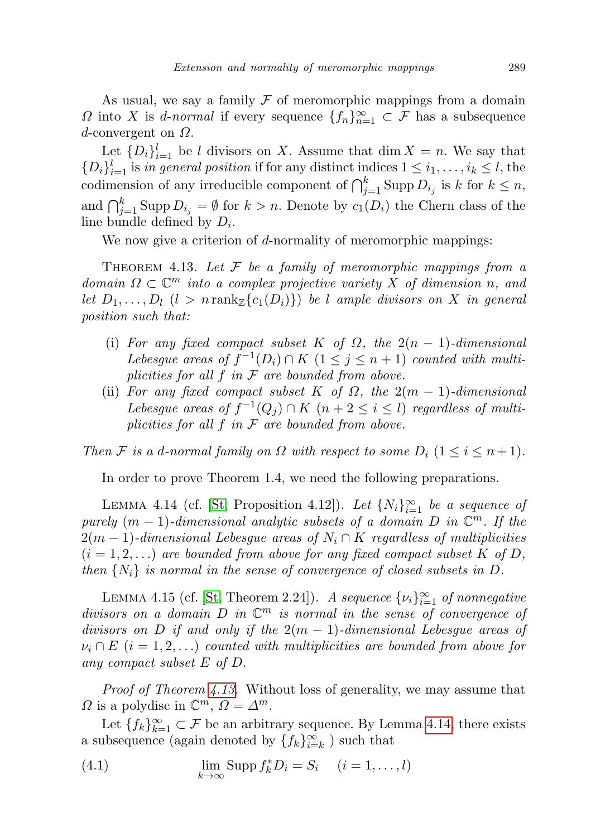As usual, we say a family  $\mathcal F$  of meromorphic mappings from a domain  $\Omega$  into X is *d-normal* if every sequence  $\{f_n\}_{n=1}^{\infty} \subset \mathcal{F}$  has a subsequence  $d$ -convergent on  $\Omega$ .

Let  $\{D_i\}_{i=1}^l$  be l divisors on X. Assume that  $\dim X = n$ . We say that  $\{D_i\}_{i=1}^l$  is in general position if for any distinct indices  $1 \leq i_1, \ldots, i_k \leq l$ , the codimension of any irreducible component of  $\bigcap_{j=1}^k \text{Supp } D_{i_j}$  is k for  $k \leq n$ , and  $\bigcap_{j=1}^k \text{Supp } D_{i_j} = \emptyset$  for  $k > n$ . Denote by  $c_1(D_i)$  the Chern class of the line bundle defined by  $D_i$ .

We now give a criterion of d-normality of meromorphic mappings:

<span id="page-10-0"></span>THEOREM 4.13. Let  $F$  be a family of meromorphic mappings from a domain  $\Omega \subset \mathbb{C}^m$  into a complex projective variety X of dimension n, and let  $D_1, \ldots, D_l$   $(l > n \operatorname{rank}_{\mathbb{Z}}\{c_1(D_i)\})$  be l ample divisors on X in general position such that:

- (i) For any fixed compact subset K of  $\Omega$ , the  $2(n-1)$ -dimensional Lebesgue areas of  $f^{-1}(D_i) \cap K$   $(1 \leq j \leq n+1)$  counted with multiplicities for all  $f$  in  $\mathcal F$  are bounded from above.
- (ii) For any fixed compact subset K of  $\Omega$ , the  $2(m-1)$ -dimensional Lebesgue areas of  $f^{-1}(Q_j) \cap K$   $(n+2 \leq i \leq l)$  regardless of multiplicities for all  $f$  in  $\mathcal F$  are bounded from above.

Then F is a d-normal family on  $\Omega$  with respect to some  $D_i$   $(1 \leq i \leq n+1)$ .

In order to prove Theorem 1.4, we need the following preparations.

<span id="page-10-1"></span>LEMMA 4.14 (cf. [\[St,](#page-12-13) Proposition 4.12]). Let  $\{N_i\}_{i=1}^{\infty}$  be a sequence of purely  $(m-1)$ -dimensional analytic subsets of a domain D in  $\mathbb{C}^m$ . If the  $2(m-1)$ -dimensional Lebesgue areas of  $N_i \cap K$  regardless of multiplicities  $(i = 1, 2, ...)$  are bounded from above for any fixed compact subset K of D, then  $\{N_i\}$  is normal in the sense of convergence of closed subsets in D.

<span id="page-10-2"></span>LEMMA 4.15 (cf. [\[St,](#page-12-13) Theorem 2.24]). A sequence  $\{\nu_i\}_{i=1}^{\infty}$  of nonnegative divisors on a domain  $D$  in  $\mathbb{C}^m$  is normal in the sense of convergence of divisors on D if and only if the  $2(m-1)$ -dimensional Lebesgue areas of  $\nu_i \cap E$  (i = 1,2,...) counted with multiplicities are bounded from above for any compact subset E of D.

*Proof of Theorem [4.13](#page-10-0).* Without loss of generality, we may assume that  $\Omega$  is a polydisc in  $\mathbb{C}^m$ ,  $\Omega = \Delta^m$ .

Let  ${f_k}_{k=1}^{\infty} \subset \mathcal{F}$  be an arbitrary sequence. By Lemma [4.14,](#page-10-1) there exists a subsequence (again denoted by  $\{f_k\}_{i=k}^{\infty}$ ) such that

(4.1) 
$$
\lim_{k \to \infty} \text{Supp } f_k^* D_i = S_i \quad (i = 1, \dots, l)
$$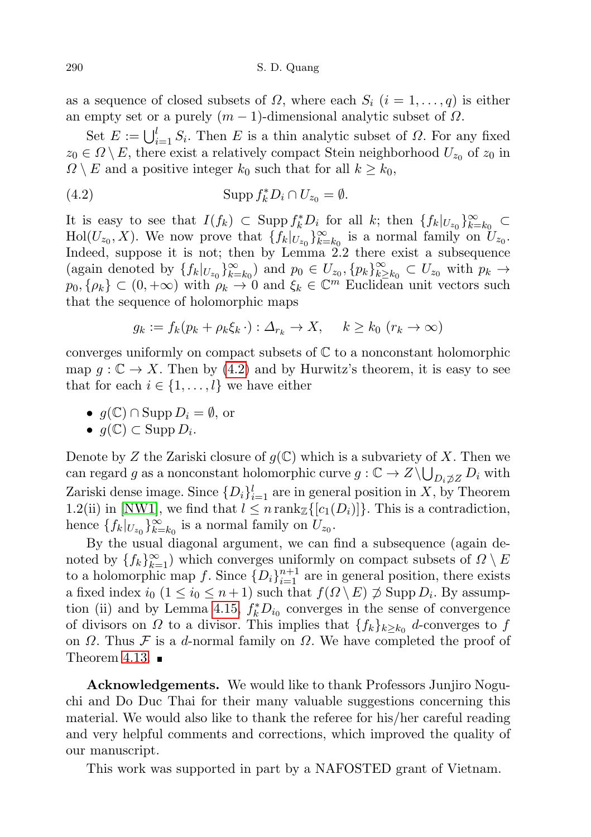as a sequence of closed subsets of  $\Omega$ , where each  $S_i$   $(i = 1, \ldots, q)$  is either an empty set or a purely  $(m-1)$ -dimensional analytic subset of  $\Omega$ .

Set  $E := \bigcup_{i=1}^{l} S_i$ . Then E is a thin analytic subset of  $\Omega$ . For any fixed  $z_0 \in \Omega \setminus E$ , there exist a relatively compact Stein neighborhood  $U_{z_0}$  of  $z_0$  in  $\Omega \setminus E$  and a positive integer  $k_0$  such that for all  $k \geq k_0$ ,

<span id="page-11-0"></span>(4.2) 
$$
\operatorname{Supp} f_k^* D_i \cap U_{z_0} = \emptyset.
$$

It is easy to see that  $I(f_k) \subset \text{Supp } f_k^*D_i$  for all k; then  $\{f_k|_{U_{z_0}}\}_{k=k_0}^{\infty} \subset$  $\text{Hol}(U_{z_0}, X)$ . We now prove that  $\{f_k|_{U_{z_0}}\}_{k=k_0}^{\infty}$  is a normal family on  $U_{z_0}$ . Indeed, suppose it is not; then by Lemma 2.2 there exist a subsequence (again denoted by  $\{f_k|_{U_{z_0}}\}_{k=k_0}^{\infty}$ ) and  $p_0 \in U_{z_0}, \{p_k\}_{k\geq 0}^{\infty}$  $\sum_{k\geq k_0}^{\infty} \subset U_{z_0}$  with  $p_k \to$  $p_0, \{\rho_k\} \subset (0, +\infty)$  with  $\rho_k \to 0$  and  $\xi_k \in \mathbb{C}^m$  Euclidean unit vectors such that the sequence of holomorphic maps

$$
g_k := f_k(p_k + \rho_k \xi_k \cdot) : \Delta_{r_k} \to X, \quad k \ge k_0 \ (r_k \to \infty)
$$

converges uniformly on compact subsets of  $\mathbb C$  to a nonconstant holomorphic map  $q: \mathbb{C} \to X$ . Then by [\(4.2\)](#page-11-0) and by Hurwitz's theorem, it is easy to see that for each  $i \in \{1, \ldots, l\}$  we have either

• 
$$
g(\mathbb{C}) \cap \text{Supp } D_i = \emptyset
$$
, or

• 
$$
g(\mathbb{C}) \subset \text{Supp } D_i
$$
.

Denote by Z the Zariski closure of  $g(\mathbb{C})$  which is a subvariety of X. Then we can regard g as a nonconstant holomorphic curve  $g: \mathbb{C} \to Z \setminus \bigcup_{D_i \not\supset Z} D_i$  with Zariski dense image. Since  $\{D_i\}_{i=1}^l$  are in general position in X, by Theorem 1.2(ii) in [\[NW1\]](#page-12-14), we find that  $l \leq n \text{ rank}_{\mathbb{Z}}\{[c_1(D_i)]\}$ . This is a contradiction, hence  $\{f_k|_{U_{z_0}}\}_{k=k_0}^{\infty}$  is a normal family on  $U_{z_0}$ .

By the usual diagonal argument, we can find a subsequence (again denoted by  $\{f_k\}_{k=1}^{\infty}$  which converges uniformly on compact subsets of  $\Omega \setminus E$ to a holomorphic map f. Since  $\{D_i\}_{i=1}^{n+1}$  are in general position, there exists a fixed index  $i_0$   $(1 \leq i_0 \leq n+1)$  such that  $f(\Omega \setminus E) \not\supset \text{Supp } D_i$ . By assump-tion (ii) and by Lemma [4.15,](#page-10-2)  $f_k^* D_{i_0}$  converges in the sense of convergence of divisors on  $\Omega$  to a divisor. This implies that  $\{f_k\}_{k\geq k_0}$  d-converges to f on  $\Omega$ . Thus F is a d-normal family on  $\Omega$ . We have completed the proof of Theorem [4.13.](#page-10-0)  $\blacksquare$ 

Acknowledgements. We would like to thank Professors Junjiro Noguchi and Do Duc Thai for their many valuable suggestions concerning this material. We would also like to thank the referee for his/her careful reading and very helpful comments and corrections, which improved the quality of our manuscript.

This work was supported in part by a NAFOSTED grant of Vietnam.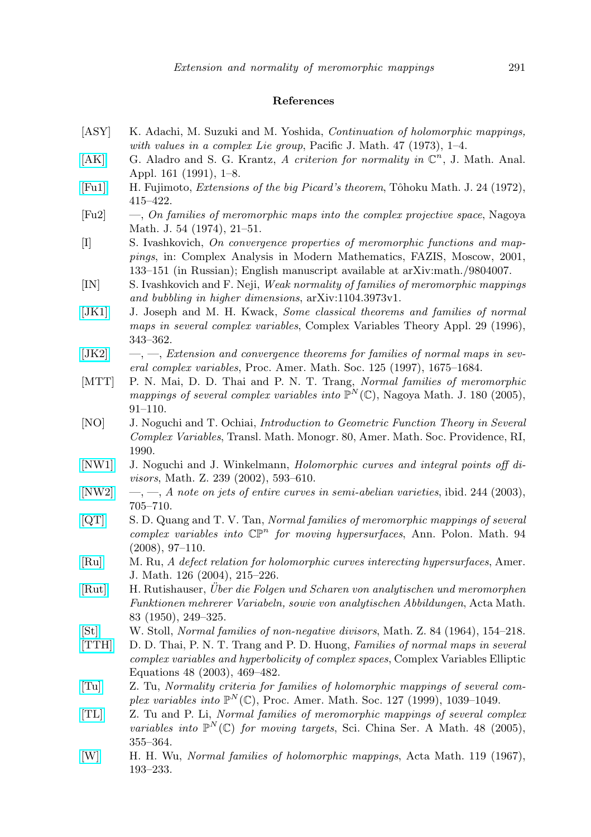### References

- <span id="page-12-10"></span>[ASY] K. Adachi, M. Suzuki and M. Yoshida, Continuation of holomorphic mappings, with values in a complex Lie group, Pacific J. Math. 47 (1973),  $1-4$ .
- <span id="page-12-6"></span>[\[AK\]](http://dx.doi.org/10.1016/0022-247X(91)90356-5) G. Aladro and S. G. Krantz, A criterion for normality in  $\mathbb{C}^n$ , J. Math. Anal. Appl. 161 (1991), 1–8.
- [\[Fu1\]](http://dx.doi.org/10.2748/tmj/1178241480) H. Fujimoto, *Extensions of the big Picard's theorem*, Tôhoku Math. J. 24 (1972), 415–422.
- <span id="page-12-0"></span>[Fu2] —, On families of meromorphic maps into the complex projective space, Nagoya Math. J. 54 (1974), 21–51.
- <span id="page-12-11"></span>[I] S. Ivashkovich, On convergence properties of meromorphic functions and mappings, in: Complex Analysis in Modern Mathematics, FAZIS, Moscow, 2001, 133–151 (in Russian); English manuscript available at arXiv:math./9804007.
- <span id="page-12-12"></span>[IN] S. Ivashkovich and F. Neji, Weak normality of families of meromorphic mappings and bubbling in higher dimensions, arXiv:1104.3973v1.
- [\[JK1\]](http://dx.doi.org/10.1080/17476939608814902) J. Joseph and M. H. Kwack, Some classical theorems and families of normal maps in several complex variables, Complex Variables Theory Appl. 29 (1996), 343–362.
- <span id="page-12-9"></span> $[JK2] \t—, \t—, Extension and convergence theorems for families of normal maps in sev [JK2] \t—, \t—, Extension and convergence theorems for families of normal maps in sev$ eral complex variables, Proc. Amer. Math. Soc. 125 (1997), 1675–1684.
- <span id="page-12-2"></span>[MTT] P. N. Mai, D. D. Thai and P. N. T. Trang, *Normal families of meromorphic* mappings of several complex variables into  $\mathbb{P}^N(\mathbb{C})$ , Nagoya Math. J. 180 (2005), 91–110.
- <span id="page-12-5"></span>[NO] J. Noguchi and T. Ochiai, *Introduction to Geometric Function Theory in Several* Complex Variables, Transl. Math. Monogr. 80, Amer. Math. Soc. Providence, RI, 1990.
- <span id="page-12-14"></span>[\[NW1\]](http://dx.doi.org/10.1007/s002090100327) J. Noguchi and J. Winkelmann, Holomorphic curves and integral points off divisors, Math. Z. 239 (2002), 593–610.
- <span id="page-12-8"></span> $[NW2] \quad -, [NW2] \quad -,-$ , A note on jets of entire curves in semi-abelian varieties, ibid. 244 (2003), 705–710.
- <span id="page-12-3"></span>[\[QT\]](http://dx.doi.org/10.4064/ap94-2-1) S. D. Quang and T. V. Tan, Normal families of meromorphic mappings of several  $complex\ variables\ into\ \mathbb{CP}^n\ for\ moving\ hypersurfaces,\ Ann.\ Polon.\ Math.\ 94$ (2008), 97–110.
- [\[Ru\]](http://dx.doi.org/10.1353/ajm.2004.0006) M. Ru, A defect relation for holomorphic curves interecting hypersurfaces, Amer. J. Math. 126 (2004), 215–226.
- [\[Rut\]](http://dx.doi.org/10.1007/BF02392638) H. Rutishauser, Uber die Folgen und Scharen von analytischen und meromorphen ¨ Funktionen mehrerer Variabeln, sowie von analytischen Abbildungen, Acta Math. 83 (1950), 249–325.
- <span id="page-12-13"></span>[\[St\]](http://dx.doi.org/10.1007/BF01117123) W. Stoll, Normal families of non-negative divisors, Math. Z. 84 (1964), 154–218.
- <span id="page-12-7"></span>[\[TTH\]](http://dx.doi.org/10.1080/0278107031000094963) D. D. Thai, P. N. T. Trang and P. D. Huong, Families of normal maps in several complex variables and hyperbolicity of complex spaces, Complex Variables Elliptic Equations 48 (2003), 469–482.
- <span id="page-12-1"></span>[\[Tu\]](http://dx.doi.org/10.1090/S0002-9939-99-04610-9) Z. Tu, Normality criteria for families of holomorphic mappings of several complex variables into  $\mathbb{P}^N(\mathbb{C})$ , Proc. Amer. Math. Soc. 127 (1999), 1039-1049.
- <span id="page-12-4"></span>[\[TL\]](http://dx.doi.org/10.1007/BF02884720) Z. Tu and P. Li, Normal families of meromorphic mappings of several complex variables into  $\mathbb{P}^N(\mathbb{C})$  for moving targets, Sci. China Ser. A Math. 48 (2005), 355–364.
- [\[W\]](http://dx.doi.org/10.1007/BF02392083) H. H. Wu, Normal families of holomorphic mappings, Acta Math. 119 (1967), 193–233.